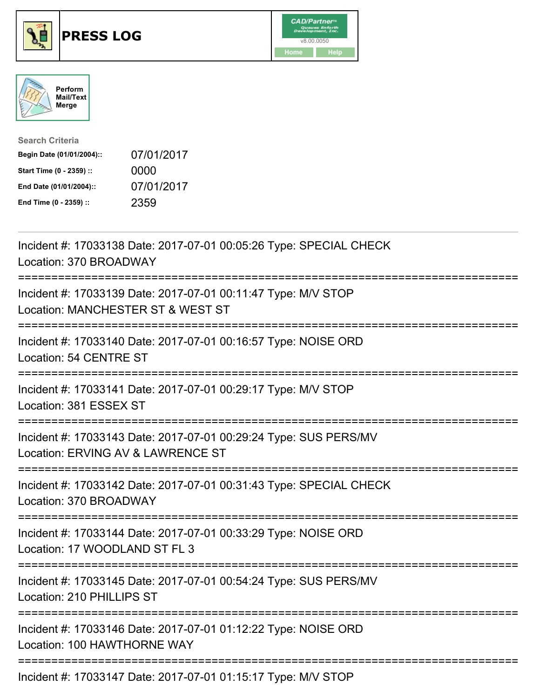





| <b>Search Criteria</b>    |            |
|---------------------------|------------|
| Begin Date (01/01/2004):: | 07/01/2017 |
| Start Time (0 - 2359) ::  | 0000       |
| End Date (01/01/2004)::   | 07/01/2017 |
| End Time (0 - 2359) ::    | 2359       |

| Incident #: 17033138 Date: 2017-07-01 00:05:26 Type: SPECIAL CHECK<br>Location: 370 BROADWAY                                         |
|--------------------------------------------------------------------------------------------------------------------------------------|
| Incident #: 17033139 Date: 2017-07-01 00:11:47 Type: M/V STOP<br>Location: MANCHESTER ST & WEST ST                                   |
| Incident #: 17033140 Date: 2017-07-01 00:16:57 Type: NOISE ORD<br>Location: 54 CENTRE ST                                             |
| Incident #: 17033141 Date: 2017-07-01 00:29:17 Type: M/V STOP<br>Location: 381 ESSEX ST                                              |
| Incident #: 17033143 Date: 2017-07-01 00:29:24 Type: SUS PERS/MV<br>Location: ERVING AV & LAWRENCE ST                                |
| Incident #: 17033142 Date: 2017-07-01 00:31:43 Type: SPECIAL CHECK<br>Location: 370 BROADWAY<br>==================================== |
| Incident #: 17033144 Date: 2017-07-01 00:33:29 Type: NOISE ORD<br>Location: 17 WOODLAND ST FL 3<br>:=======================          |
| Incident #: 17033145 Date: 2017-07-01 00:54:24 Type: SUS PERS/MV<br>Location: 210 PHILLIPS ST                                        |
| Incident #: 17033146 Date: 2017-07-01 01:12:22 Type: NOISE ORD<br>Location: 100 HAWTHORNE WAY                                        |
| Incident #: 17033147 Date: 2017-07-01 01:15:17 Type: M/V STOP                                                                        |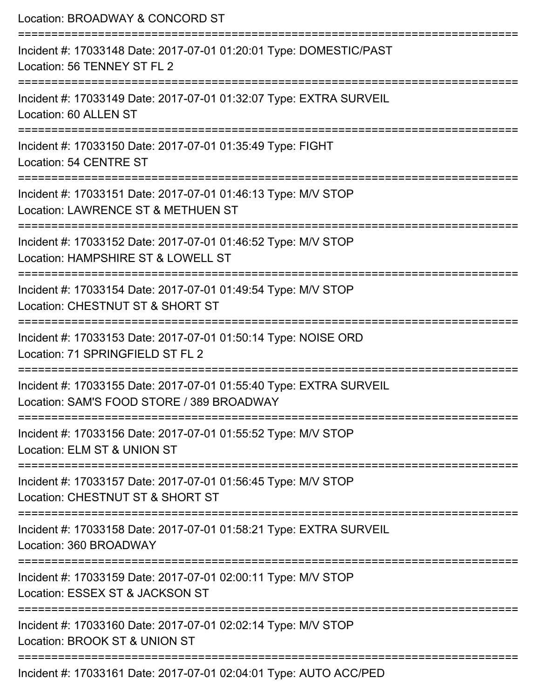| Location: BROADWAY & CONCORD ST                                                                                 |
|-----------------------------------------------------------------------------------------------------------------|
| Incident #: 17033148 Date: 2017-07-01 01:20:01 Type: DOMESTIC/PAST<br>Location: 56 TENNEY ST FL 2               |
| Incident #: 17033149 Date: 2017-07-01 01:32:07 Type: EXTRA SURVEIL<br>Location: 60 ALLEN ST                     |
| Incident #: 17033150 Date: 2017-07-01 01:35:49 Type: FIGHT<br>Location: 54 CENTRE ST                            |
| Incident #: 17033151 Date: 2017-07-01 01:46:13 Type: M/V STOP<br>Location: LAWRENCE ST & METHUEN ST             |
| Incident #: 17033152 Date: 2017-07-01 01:46:52 Type: M/V STOP<br>Location: HAMPSHIRE ST & LOWELL ST             |
| Incident #: 17033154 Date: 2017-07-01 01:49:54 Type: M/V STOP<br>Location: CHESTNUT ST & SHORT ST               |
| Incident #: 17033153 Date: 2017-07-01 01:50:14 Type: NOISE ORD<br>Location: 71 SPRINGFIELD ST FL 2              |
| Incident #: 17033155 Date: 2017-07-01 01:55:40 Type: EXTRA SURVEIL<br>Location: SAM'S FOOD STORE / 389 BROADWAY |
| Incident #: 17033156 Date: 2017-07-01 01:55:52 Type: M/V STOP<br>Location: ELM ST & UNION ST                    |
| Incident #: 17033157 Date: 2017-07-01 01:56:45 Type: M/V STOP<br>Location: CHESTNUT ST & SHORT ST               |
| Incident #: 17033158 Date: 2017-07-01 01:58:21 Type: EXTRA SURVEIL<br>Location: 360 BROADWAY                    |
| Incident #: 17033159 Date: 2017-07-01 02:00:11 Type: M/V STOP<br>Location: ESSEX ST & JACKSON ST                |
| Incident #: 17033160 Date: 2017-07-01 02:02:14 Type: M/V STOP<br>Location: BROOK ST & UNION ST                  |
| Incident #: 17033161 Date: 2017-07-01 02:04:01 Type: AUTO ACC/PED                                               |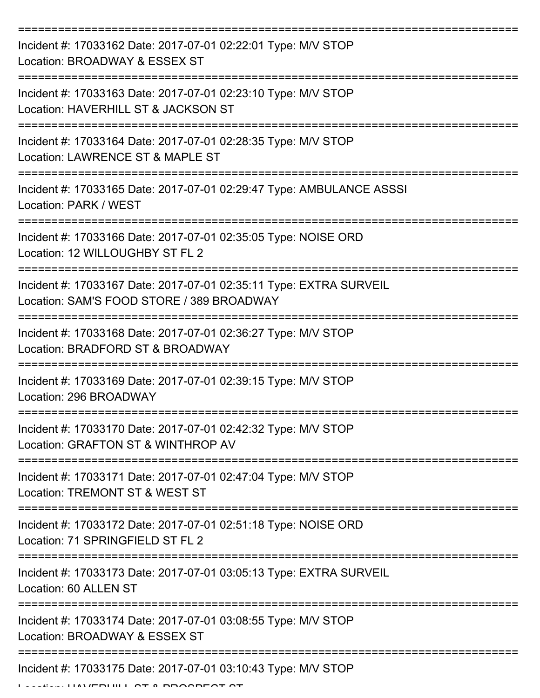| Incident #: 17033162 Date: 2017-07-01 02:22:01 Type: M/V STOP<br>Location: BROADWAY & ESSEX ST                  |
|-----------------------------------------------------------------------------------------------------------------|
| Incident #: 17033163 Date: 2017-07-01 02:23:10 Type: M/V STOP<br>Location: HAVERHILL ST & JACKSON ST            |
| Incident #: 17033164 Date: 2017-07-01 02:28:35 Type: M/V STOP<br>Location: LAWRENCE ST & MAPLE ST               |
| Incident #: 17033165 Date: 2017-07-01 02:29:47 Type: AMBULANCE ASSSI<br>Location: PARK / WEST                   |
| Incident #: 17033166 Date: 2017-07-01 02:35:05 Type: NOISE ORD<br>Location: 12 WILLOUGHBY ST FL 2               |
| Incident #: 17033167 Date: 2017-07-01 02:35:11 Type: EXTRA SURVEIL<br>Location: SAM'S FOOD STORE / 389 BROADWAY |
| Incident #: 17033168 Date: 2017-07-01 02:36:27 Type: M/V STOP<br>Location: BRADFORD ST & BROADWAY               |
| Incident #: 17033169 Date: 2017-07-01 02:39:15 Type: M/V STOP<br>Location: 296 BROADWAY                         |
| Incident #: 17033170 Date: 2017-07-01 02:42:32 Type: M/V STOP<br>Location: GRAFTON ST & WINTHROP AV             |
| Incident #: 17033171 Date: 2017-07-01 02:47:04 Type: M/V STOP<br>Location: TREMONT ST & WEST ST                 |
| Incident #: 17033172 Date: 2017-07-01 02:51:18 Type: NOISE ORD<br>Location: 71 SPRINGFIELD ST FL 2              |
| Incident #: 17033173 Date: 2017-07-01 03:05:13 Type: EXTRA SURVEIL<br>Location: 60 ALLEN ST                     |
| Incident #: 17033174 Date: 2017-07-01 03:08:55 Type: M/V STOP<br>Location: BROADWAY & ESSEX ST                  |
| Incident #: 17033175 Date: 2017-07-01 03:10:43 Type: M/V STOP                                                   |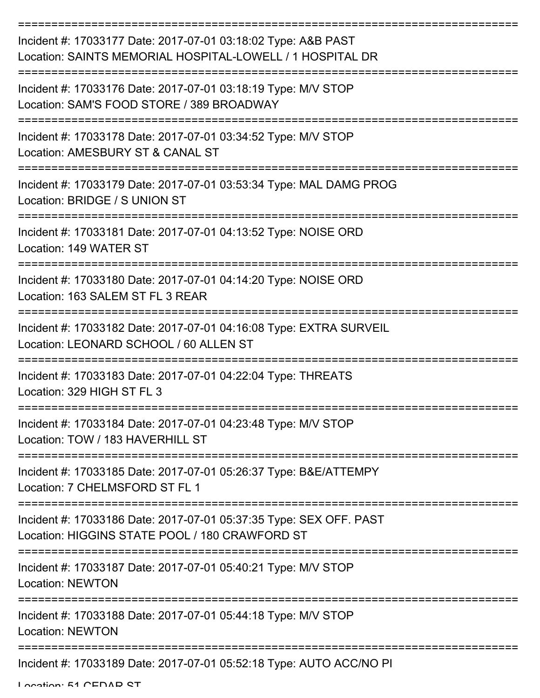| Incident #: 17033177 Date: 2017-07-01 03:18:02 Type: A&B PAST<br>Location: SAINTS MEMORIAL HOSPITAL-LOWELL / 1 HOSPITAL DR   |
|------------------------------------------------------------------------------------------------------------------------------|
| Incident #: 17033176 Date: 2017-07-01 03:18:19 Type: M/V STOP<br>Location: SAM'S FOOD STORE / 389 BROADWAY                   |
| Incident #: 17033178 Date: 2017-07-01 03:34:52 Type: M/V STOP<br>Location: AMESBURY ST & CANAL ST                            |
| Incident #: 17033179 Date: 2017-07-01 03:53:34 Type: MAL DAMG PROG<br>Location: BRIDGE / S UNION ST                          |
| Incident #: 17033181 Date: 2017-07-01 04:13:52 Type: NOISE ORD<br>Location: 149 WATER ST<br>-------------------------------- |
| Incident #: 17033180 Date: 2017-07-01 04:14:20 Type: NOISE ORD<br>Location: 163 SALEM ST FL 3 REAR                           |
| Incident #: 17033182 Date: 2017-07-01 04:16:08 Type: EXTRA SURVEIL<br>Location: LEONARD SCHOOL / 60 ALLEN ST                 |
| Incident #: 17033183 Date: 2017-07-01 04:22:04 Type: THREATS<br>Location: 329 HIGH ST FL 3                                   |
| Incident #: 17033184 Date: 2017-07-01 04:23:48 Type: M/V STOP<br>Location: TOW / 183 HAVERHILL ST                            |
| Incident #: 17033185 Date: 2017-07-01 05:26:37 Type: B&E/ATTEMPY<br>Location: 7 CHELMSFORD ST FL 1                           |
| Incident #: 17033186 Date: 2017-07-01 05:37:35 Type: SEX OFF. PAST<br>Location: HIGGINS STATE POOL / 180 CRAWFORD ST         |
| Incident #: 17033187 Date: 2017-07-01 05:40:21 Type: M/V STOP<br><b>Location: NEWTON</b>                                     |
| Incident #: 17033188 Date: 2017-07-01 05:44:18 Type: M/V STOP<br><b>Location: NEWTON</b>                                     |
| Incident #: 17033189 Date: 2017-07-01 05:52:18 Type: AUTO ACC/NO PI                                                          |

Location: 51 CEDAD CT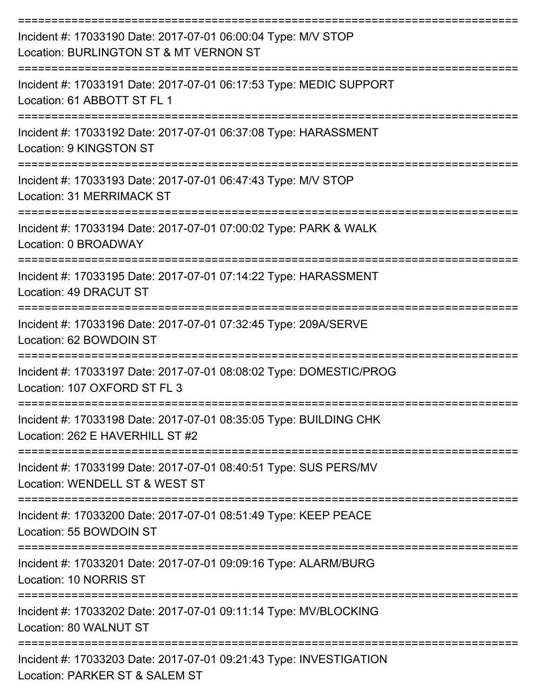| Incident #: 17033190 Date: 2017-07-01 06:00:04 Type: M/V STOP<br>Location: BURLINGTON ST & MT VERNON ST |
|---------------------------------------------------------------------------------------------------------|
| Incident #: 17033191 Date: 2017-07-01 06:17:53 Type: MEDIC SUPPORT<br>Location: 61 ABBOTT ST FL 1       |
| Incident #: 17033192 Date: 2017-07-01 06:37:08 Type: HARASSMENT<br>Location: 9 KINGSTON ST              |
| Incident #: 17033193 Date: 2017-07-01 06:47:43 Type: M/V STOP<br>Location: 31 MERRIMACK ST              |
| Incident #: 17033194 Date: 2017-07-01 07:00:02 Type: PARK & WALK<br>Location: 0 BROADWAY                |
| Incident #: 17033195 Date: 2017-07-01 07:14:22 Type: HARASSMENT<br>Location: 49 DRACUT ST               |
| Incident #: 17033196 Date: 2017-07-01 07:32:45 Type: 209A/SERVE<br>Location: 62 BOWDOIN ST              |
| Incident #: 17033197 Date: 2017-07-01 08:08:02 Type: DOMESTIC/PROG<br>Location: 107 OXFORD ST FL 3      |
| Incident #: 17033198 Date: 2017-07-01 08:35:05 Type: BUILDING CHK<br>Location: 262 E HAVERHILL ST #2    |
| Incident #: 17033199 Date: 2017-07-01 08:40:51 Type: SUS PERS/MV<br>Location: WENDELL ST & WEST ST      |
| Incident #: 17033200 Date: 2017-07-01 08:51:49 Type: KEEP PEACE<br>Location: 55 BOWDOIN ST              |
| Incident #: 17033201 Date: 2017-07-01 09:09:16 Type: ALARM/BURG<br>Location: 10 NORRIS ST               |
| Incident #: 17033202 Date: 2017-07-01 09:11:14 Type: MV/BLOCKING<br>Location: 80 WALNUT ST              |
| Incident #: 17033203 Date: 2017-07-01 09:21:43 Type: INVESTIGATION<br>Location: PARKER ST & SALEM ST    |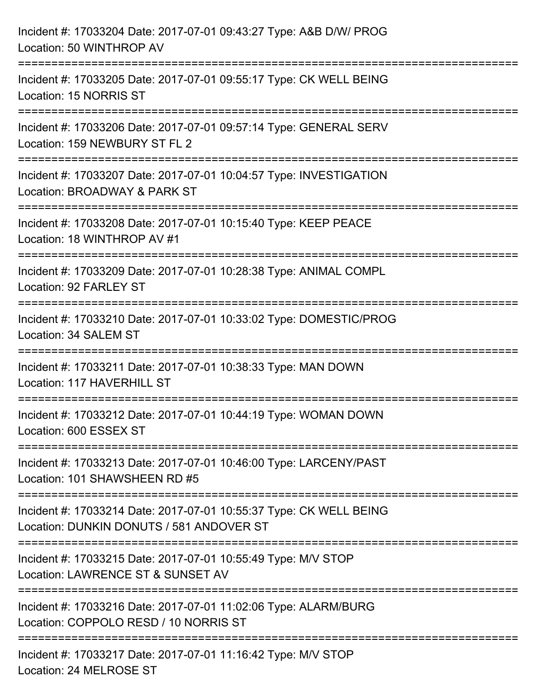| Incident #: 17033204 Date: 2017-07-01 09:43:27 Type: A&B D/W/ PROG<br>Location: 50 WINTHROP AV                 |
|----------------------------------------------------------------------------------------------------------------|
| Incident #: 17033205 Date: 2017-07-01 09:55:17 Type: CK WELL BEING<br>Location: 15 NORRIS ST                   |
| Incident #: 17033206 Date: 2017-07-01 09:57:14 Type: GENERAL SERV<br>Location: 159 NEWBURY ST FL 2             |
| Incident #: 17033207 Date: 2017-07-01 10:04:57 Type: INVESTIGATION<br>Location: BROADWAY & PARK ST             |
| Incident #: 17033208 Date: 2017-07-01 10:15:40 Type: KEEP PEACE<br>Location: 18 WINTHROP AV #1                 |
| Incident #: 17033209 Date: 2017-07-01 10:28:38 Type: ANIMAL COMPL<br>Location: 92 FARLEY ST                    |
| Incident #: 17033210 Date: 2017-07-01 10:33:02 Type: DOMESTIC/PROG<br>Location: 34 SALEM ST                    |
| Incident #: 17033211 Date: 2017-07-01 10:38:33 Type: MAN DOWN<br>Location: 117 HAVERHILL ST                    |
| Incident #: 17033212 Date: 2017-07-01 10:44:19 Type: WOMAN DOWN<br>Location: 600 ESSEX ST                      |
| Incident #: 17033213 Date: 2017-07-01 10:46:00 Type: LARCENY/PAST<br>Location: 101 SHAWSHEEN RD #5             |
| Incident #: 17033214 Date: 2017-07-01 10:55:37 Type: CK WELL BEING<br>Location: DUNKIN DONUTS / 581 ANDOVER ST |
| Incident #: 17033215 Date: 2017-07-01 10:55:49 Type: M/V STOP<br>Location: LAWRENCE ST & SUNSET AV             |
| Incident #: 17033216 Date: 2017-07-01 11:02:06 Type: ALARM/BURG<br>Location: COPPOLO RESD / 10 NORRIS ST       |
| Incident #: 17033217 Date: 2017-07-01 11:16:42 Type: M/V STOP<br>Location: 24 MELROSE ST                       |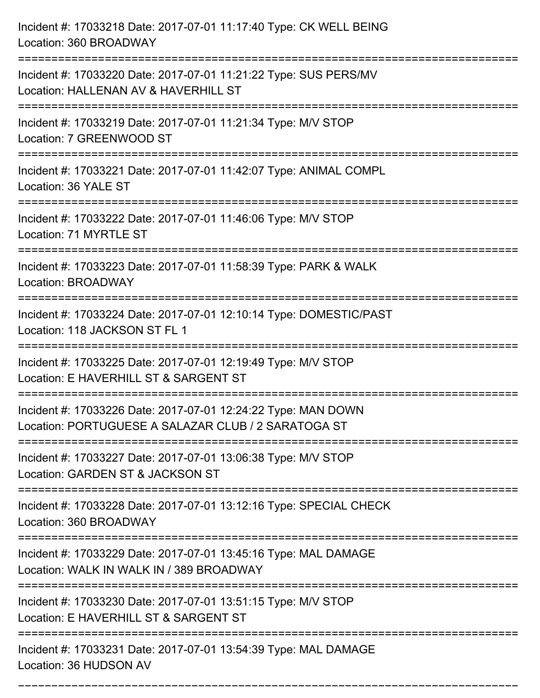| Incident #: 17033218 Date: 2017-07-01 11:17:40 Type: CK WELL BEING<br>Location: 360 BROADWAY                         |
|----------------------------------------------------------------------------------------------------------------------|
| Incident #: 17033220 Date: 2017-07-01 11:21:22 Type: SUS PERS/MV<br>Location: HALLENAN AV & HAVERHILL ST             |
| Incident #: 17033219 Date: 2017-07-01 11:21:34 Type: M/V STOP<br>Location: 7 GREENWOOD ST                            |
| Incident #: 17033221 Date: 2017-07-01 11:42:07 Type: ANIMAL COMPL<br>Location: 36 YALE ST                            |
| Incident #: 17033222 Date: 2017-07-01 11:46:06 Type: M/V STOP<br>Location: 71 MYRTLE ST                              |
| Incident #: 17033223 Date: 2017-07-01 11:58:39 Type: PARK & WALK<br>Location: BROADWAY                               |
| Incident #: 17033224 Date: 2017-07-01 12:10:14 Type: DOMESTIC/PAST<br>Location: 118 JACKSON ST FL 1                  |
| Incident #: 17033225 Date: 2017-07-01 12:19:49 Type: M/V STOP<br>Location: E HAVERHILL ST & SARGENT ST               |
| Incident #: 17033226 Date: 2017-07-01 12:24:22 Type: MAN DOWN<br>Location: PORTUGUESE A SALAZAR CLUB / 2 SARATOGA ST |
| Incident #: 17033227 Date: 2017-07-01 13:06:38 Type: M/V STOP<br>Location: GARDEN ST & JACKSON ST                    |
| Incident #: 17033228 Date: 2017-07-01 13:12:16 Type: SPECIAL CHECK<br>Location: 360 BROADWAY                         |
| Incident #: 17033229 Date: 2017-07-01 13:45:16 Type: MAL DAMAGE<br>Location: WALK IN WALK IN / 389 BROADWAY          |
| Incident #: 17033230 Date: 2017-07-01 13:51:15 Type: M/V STOP<br>Location: E HAVERHILL ST & SARGENT ST               |
| Incident #: 17033231 Date: 2017-07-01 13:54:39 Type: MAL DAMAGE<br>Location: 36 HUDSON AV                            |

===========================================================================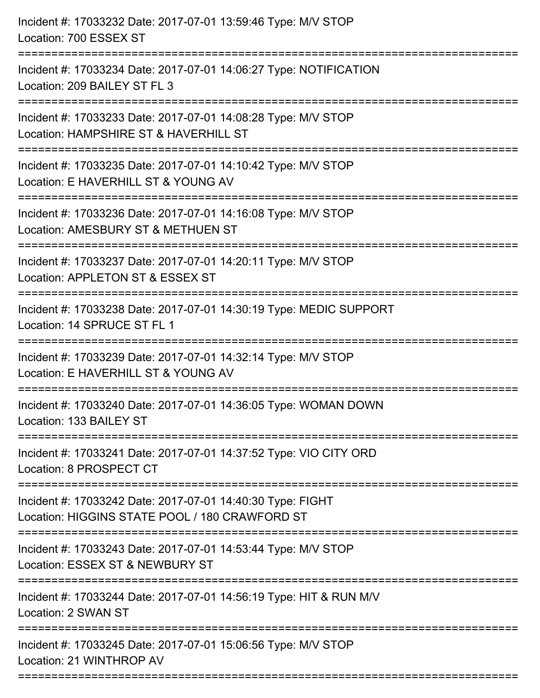| Incident #: 17033232 Date: 2017-07-01 13:59:46 Type: M/V STOP<br>Location: 700 ESSEX ST                                           |
|-----------------------------------------------------------------------------------------------------------------------------------|
| Incident #: 17033234 Date: 2017-07-01 14:06:27 Type: NOTIFICATION<br>Location: 209 BAILEY ST FL 3                                 |
| Incident #: 17033233 Date: 2017-07-01 14:08:28 Type: M/V STOP<br>Location: HAMPSHIRE ST & HAVERHILL ST<br>======================= |
| Incident #: 17033235 Date: 2017-07-01 14:10:42 Type: M/V STOP<br>Location: E HAVERHILL ST & YOUNG AV                              |
| Incident #: 17033236 Date: 2017-07-01 14:16:08 Type: M/V STOP<br>Location: AMESBURY ST & METHUEN ST                               |
| Incident #: 17033237 Date: 2017-07-01 14:20:11 Type: M/V STOP<br>Location: APPLETON ST & ESSEX ST                                 |
| Incident #: 17033238 Date: 2017-07-01 14:30:19 Type: MEDIC SUPPORT<br>Location: 14 SPRUCE ST FL 1                                 |
| Incident #: 17033239 Date: 2017-07-01 14:32:14 Type: M/V STOP<br>Location: E HAVERHILL ST & YOUNG AV                              |
| Incident #: 17033240 Date: 2017-07-01 14:36:05 Type: WOMAN DOWN<br>Location: 133 BAILEY ST                                        |
| Incident #: 17033241 Date: 2017-07-01 14:37:52 Type: VIO CITY ORD<br>Location: 8 PROSPECT CT                                      |
| Incident #: 17033242 Date: 2017-07-01 14:40:30 Type: FIGHT<br>Location: HIGGINS STATE POOL / 180 CRAWFORD ST                      |
| Incident #: 17033243 Date: 2017-07-01 14:53:44 Type: M/V STOP<br>Location: ESSEX ST & NEWBURY ST                                  |
| Incident #: 17033244 Date: 2017-07-01 14:56:19 Type: HIT & RUN M/V<br>Location: 2 SWAN ST                                         |
| Incident #: 17033245 Date: 2017-07-01 15:06:56 Type: M/V STOP<br>Location: 21 WINTHROP AV                                         |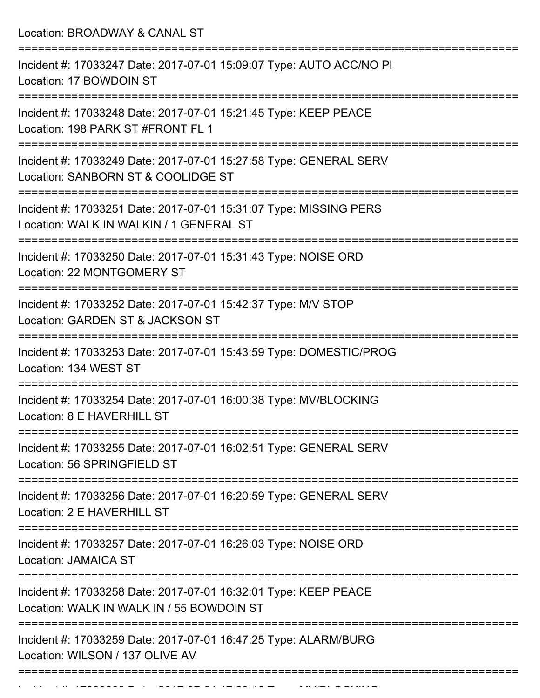Location: BROADWAY & CANAL ST =========================================================================== Incident #: 17033247 Date: 2017-07-01 15:09:07 Type: AUTO ACC/NO PI Location: 17 BOWDOIN ST =========================================================================== Incident #: 17033248 Date: 2017-07-01 15:21:45 Type: KEEP PEACE Location: 198 PARK ST #FRONT FL 1 =========================================================================== Incident #: 17033249 Date: 2017-07-01 15:27:58 Type: GENERAL SERV Location: SANBORN ST & COOLIDGE ST =========================================================================== Incident #: 17033251 Date: 2017-07-01 15:31:07 Type: MISSING PERS Location: WALK IN WALKIN / 1 GENERAL ST =========================================================================== Incident #: 17033250 Date: 2017-07-01 15:31:43 Type: NOISE ORD Location: 22 MONTGOMERY ST =========================================================================== Incident #: 17033252 Date: 2017-07-01 15:42:37 Type: M/V STOP Location: GARDEN ST & JACKSON ST =========================================================================== Incident #: 17033253 Date: 2017-07-01 15:43:59 Type: DOMESTIC/PROG Location: 134 WEST ST =========================================================================== Incident #: 17033254 Date: 2017-07-01 16:00:38 Type: MV/BLOCKING Location: 8 E HAVERHILL ST =========================================================================== Incident #: 17033255 Date: 2017-07-01 16:02:51 Type: GENERAL SERV Location: 56 SPRINGFIELD ST =========================================================================== Incident #: 17033256 Date: 2017-07-01 16:20:59 Type: GENERAL SERV Location: 2 E HAVERHILL ST =========================================================================== Incident #: 17033257 Date: 2017-07-01 16:26:03 Type: NOISE ORD Location: JAMAICA ST =========================================================================== Incident #: 17033258 Date: 2017-07-01 16:32:01 Type: KEEP PEACE Location: WALK IN WALK IN / 55 BOWDOIN ST =========================================================================== Incident #: 17033259 Date: 2017-07-01 16:47:25 Type: ALARM/BURG Location: WILSON / 137 OLIVE AV ===========================================================================

Incident #: 17033260 Date: 2017 07 01 17:23:46 Type: MV/BLOCKING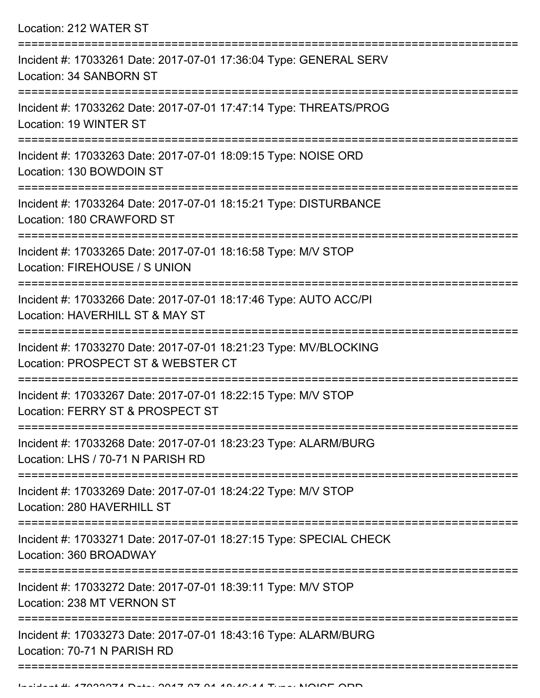| Location: 212 WATER ST |  |  |  |  |
|------------------------|--|--|--|--|
|------------------------|--|--|--|--|

| Incident #: 17033261 Date: 2017-07-01 17:36:04 Type: GENERAL SERV<br>Location: 34 SANBORN ST           |
|--------------------------------------------------------------------------------------------------------|
| Incident #: 17033262 Date: 2017-07-01 17:47:14 Type: THREATS/PROG<br>Location: 19 WINTER ST            |
| Incident #: 17033263 Date: 2017-07-01 18:09:15 Type: NOISE ORD<br>Location: 130 BOWDOIN ST             |
| Incident #: 17033264 Date: 2017-07-01 18:15:21 Type: DISTURBANCE<br>Location: 180 CRAWFORD ST          |
| Incident #: 17033265 Date: 2017-07-01 18:16:58 Type: M/V STOP<br>Location: FIREHOUSE / S UNION         |
| Incident #: 17033266 Date: 2017-07-01 18:17:46 Type: AUTO ACC/PI<br>Location: HAVERHILL ST & MAY ST    |
| Incident #: 17033270 Date: 2017-07-01 18:21:23 Type: MV/BLOCKING<br>Location: PROSPECT ST & WEBSTER CT |
| Incident #: 17033267 Date: 2017-07-01 18:22:15 Type: M/V STOP<br>Location: FERRY ST & PROSPECT ST      |
| Incident #: 17033268 Date: 2017-07-01 18:23:23 Type: ALARM/BURG<br>Location: LHS / 70-71 N PARISH RD   |
| Incident #: 17033269 Date: 2017-07-01 18:24:22 Type: M/V STOP<br>Location: 280 HAVERHILL ST            |
| Incident #: 17033271 Date: 2017-07-01 18:27:15 Type: SPECIAL CHECK<br>Location: 360 BROADWAY           |
| Incident #: 17033272 Date: 2017-07-01 18:39:11 Type: M/V STOP<br>Location: 238 MT VERNON ST            |
| Incident #: 17033273 Date: 2017-07-01 18:43:16 Type: ALARM/BURG<br>Location: 70-71 N PARISH RD         |
|                                                                                                        |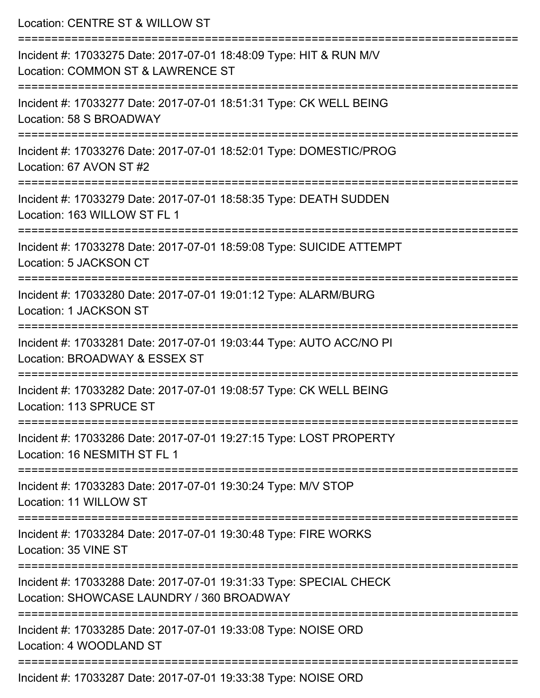| Location: CENTRE ST & WILLOW ST                                                                                                             |
|---------------------------------------------------------------------------------------------------------------------------------------------|
| Incident #: 17033275 Date: 2017-07-01 18:48:09 Type: HIT & RUN M/V<br>Location: COMMON ST & LAWRENCE ST                                     |
| Incident #: 17033277 Date: 2017-07-01 18:51:31 Type: CK WELL BEING<br>Location: 58 S BROADWAY                                               |
| Incident #: 17033276 Date: 2017-07-01 18:52:01 Type: DOMESTIC/PROG<br>Location: 67 AVON ST #2                                               |
| Incident #: 17033279 Date: 2017-07-01 18:58:35 Type: DEATH SUDDEN<br>Location: 163 WILLOW ST FL 1                                           |
| Incident #: 17033278 Date: 2017-07-01 18:59:08 Type: SUICIDE ATTEMPT<br>Location: 5 JACKSON CT                                              |
| Incident #: 17033280 Date: 2017-07-01 19:01:12 Type: ALARM/BURG<br>Location: 1 JACKSON ST                                                   |
| Incident #: 17033281 Date: 2017-07-01 19:03:44 Type: AUTO ACC/NO PI<br>Location: BROADWAY & ESSEX ST                                        |
| Incident #: 17033282 Date: 2017-07-01 19:08:57 Type: CK WELL BEING<br>Location: 113 SPRUCE ST<br>------------------------------             |
| Incident #: 17033286 Date: 2017-07-01 19:27:15 Type: LOST PROPERTY<br>Location: 16 NESMITH ST FL 1                                          |
| Incident #: 17033283 Date: 2017-07-01 19:30:24 Type: M/V STOP<br>Location: 11 WILLOW ST                                                     |
| Incident #: 17033284 Date: 2017-07-01 19:30:48 Type: FIRE WORKS<br>Location: 35 VINE ST                                                     |
| ========================<br>Incident #: 17033288 Date: 2017-07-01 19:31:33 Type: SPECIAL CHECK<br>Location: SHOWCASE LAUNDRY / 360 BROADWAY |
| Incident #: 17033285 Date: 2017-07-01 19:33:08 Type: NOISE ORD<br>Location: 4 WOODLAND ST                                                   |

Incident #: 17033287 Date: 2017-07-01 19:33:38 Type: NOISE ORD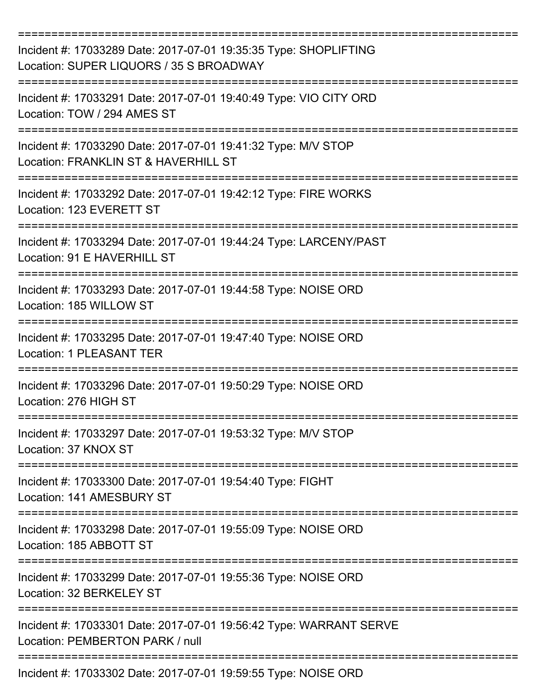| Incident #: 17033289 Date: 2017-07-01 19:35:35 Type: SHOPLIFTING<br>Location: SUPER LIQUORS / 35 S BROADWAY |
|-------------------------------------------------------------------------------------------------------------|
| Incident #: 17033291 Date: 2017-07-01 19:40:49 Type: VIO CITY ORD<br>Location: TOW / 294 AMES ST            |
| Incident #: 17033290 Date: 2017-07-01 19:41:32 Type: M/V STOP<br>Location: FRANKLIN ST & HAVERHILL ST       |
| Incident #: 17033292 Date: 2017-07-01 19:42:12 Type: FIRE WORKS<br>Location: 123 EVERETT ST                 |
| Incident #: 17033294 Date: 2017-07-01 19:44:24 Type: LARCENY/PAST<br>Location: 91 E HAVERHILL ST            |
| Incident #: 17033293 Date: 2017-07-01 19:44:58 Type: NOISE ORD<br>Location: 185 WILLOW ST                   |
| Incident #: 17033295 Date: 2017-07-01 19:47:40 Type: NOISE ORD<br><b>Location: 1 PLEASANT TER</b>           |
| Incident #: 17033296 Date: 2017-07-01 19:50:29 Type: NOISE ORD<br>Location: 276 HIGH ST                     |
| Incident #: 17033297 Date: 2017-07-01 19:53:32 Type: M/V STOP<br>Location: 37 KNOX ST                       |
| Incident #: 17033300 Date: 2017-07-01 19:54:40 Type: FIGHT<br>Location: 141 AMESBURY ST                     |
| Incident #: 17033298 Date: 2017-07-01 19:55:09 Type: NOISE ORD<br>Location: 185 ABBOTT ST                   |
| Incident #: 17033299 Date: 2017-07-01 19:55:36 Type: NOISE ORD<br>Location: 32 BERKELEY ST                  |
| Incident #: 17033301 Date: 2017-07-01 19:56:42 Type: WARRANT SERVE<br>Location: PEMBERTON PARK / null       |
| Incident #: 17033302 Date: 2017-07-01 19:59:55 Type: NOISE ORD                                              |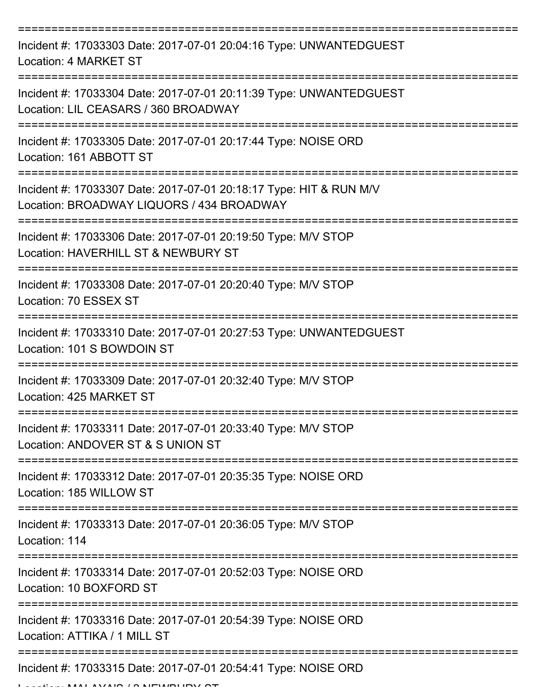| Incident #: 17033303 Date: 2017-07-01 20:04:16 Type: UNWANTEDGUEST<br>Location: 4 MARKET ST                     |
|-----------------------------------------------------------------------------------------------------------------|
| Incident #: 17033304 Date: 2017-07-01 20:11:39 Type: UNWANTEDGUEST<br>Location: LIL CEASARS / 360 BROADWAY      |
| Incident #: 17033305 Date: 2017-07-01 20:17:44 Type: NOISE ORD<br>Location: 161 ABBOTT ST                       |
| Incident #: 17033307 Date: 2017-07-01 20:18:17 Type: HIT & RUN M/V<br>Location: BROADWAY LIQUORS / 434 BROADWAY |
| Incident #: 17033306 Date: 2017-07-01 20:19:50 Type: M/V STOP<br>Location: HAVERHILL ST & NEWBURY ST            |
| Incident #: 17033308 Date: 2017-07-01 20:20:40 Type: M/V STOP<br>Location: 70 ESSEX ST                          |
| Incident #: 17033310 Date: 2017-07-01 20:27:53 Type: UNWANTEDGUEST<br>Location: 101 S BOWDOIN ST                |
| Incident #: 17033309 Date: 2017-07-01 20:32:40 Type: M/V STOP<br>Location: 425 MARKET ST                        |
| Incident #: 17033311 Date: 2017-07-01 20:33:40 Type: M/V STOP<br>Location: ANDOVER ST & S UNION ST              |
| Incident #: 17033312 Date: 2017-07-01 20:35:35 Type: NOISE ORD<br>Location: 185 WILLOW ST                       |
| Incident #: 17033313 Date: 2017-07-01 20:36:05 Type: M/V STOP<br>Location: 114                                  |
| Incident #: 17033314 Date: 2017-07-01 20:52:03 Type: NOISE ORD<br>Location: 10 BOXFORD ST                       |
| Incident #: 17033316 Date: 2017-07-01 20:54:39 Type: NOISE ORD<br>Location: ATTIKA / 1 MILL ST                  |
| Incident #: 17033315 Date: 2017-07-01 20:54:41 Type: NOISE ORD                                                  |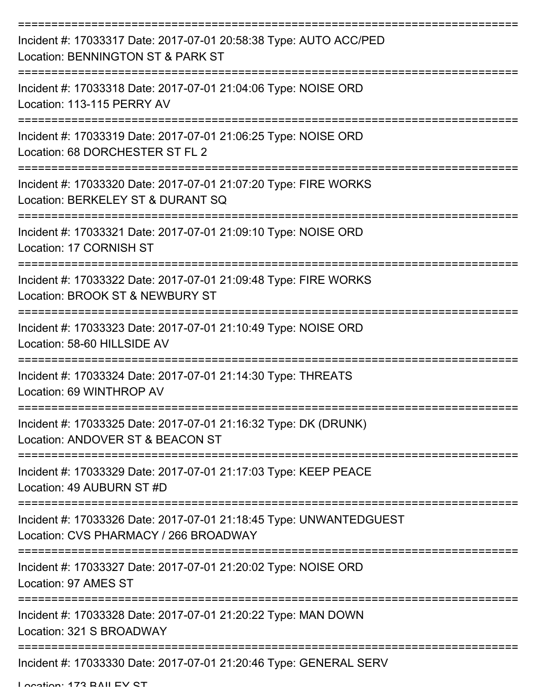| Incident #: 17033317 Date: 2017-07-01 20:58:38 Type: AUTO ACC/PED<br>Location: BENNINGTON ST & PARK ST      |
|-------------------------------------------------------------------------------------------------------------|
| Incident #: 17033318 Date: 2017-07-01 21:04:06 Type: NOISE ORD<br>Location: 113-115 PERRY AV                |
| Incident #: 17033319 Date: 2017-07-01 21:06:25 Type: NOISE ORD<br>Location: 68 DORCHESTER ST FL 2           |
| Incident #: 17033320 Date: 2017-07-01 21:07:20 Type: FIRE WORKS<br>Location: BERKELEY ST & DURANT SQ        |
| Incident #: 17033321 Date: 2017-07-01 21:09:10 Type: NOISE ORD<br>Location: 17 CORNISH ST                   |
| Incident #: 17033322 Date: 2017-07-01 21:09:48 Type: FIRE WORKS<br>Location: BROOK ST & NEWBURY ST          |
| Incident #: 17033323 Date: 2017-07-01 21:10:49 Type: NOISE ORD<br>Location: 58-60 HILLSIDE AV               |
| Incident #: 17033324 Date: 2017-07-01 21:14:30 Type: THREATS<br>Location: 69 WINTHROP AV                    |
| Incident #: 17033325 Date: 2017-07-01 21:16:32 Type: DK (DRUNK)<br>Location: ANDOVER ST & BEACON ST         |
| Incident #: 17033329 Date: 2017-07-01 21:17:03 Type: KEEP PEACE<br>Location: 49 AUBURN ST #D                |
| Incident #: 17033326 Date: 2017-07-01 21:18:45 Type: UNWANTEDGUEST<br>Location: CVS PHARMACY / 266 BROADWAY |
| Incident #: 17033327 Date: 2017-07-01 21:20:02 Type: NOISE ORD<br>Location: 97 AMES ST                      |
| Incident #: 17033328 Date: 2017-07-01 21:20:22 Type: MAN DOWN<br>Location: 321 S BROADWAY                   |
| Incident #: 17033330 Date: 2017-07-01 21:20:46 Type: GENERAL SERV                                           |

Location: 173 BAILEY ST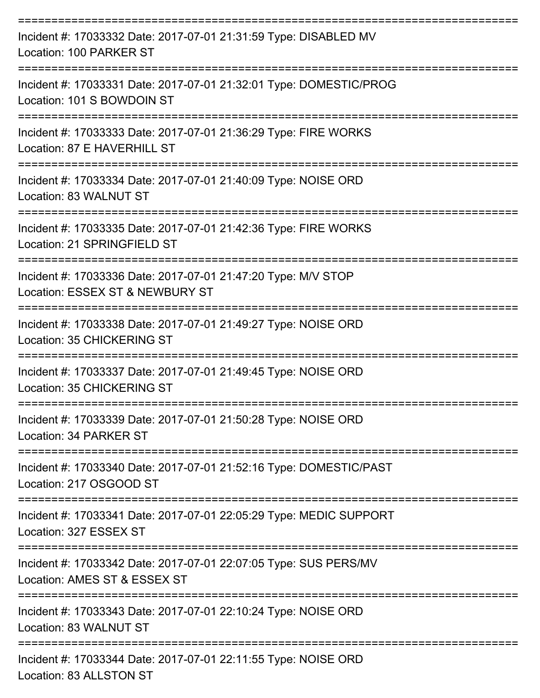| Incident #: 17033332 Date: 2017-07-01 21:31:59 Type: DISABLED MV<br>Location: 100 PARKER ST                            |
|------------------------------------------------------------------------------------------------------------------------|
| Incident #: 17033331 Date: 2017-07-01 21:32:01 Type: DOMESTIC/PROG<br>Location: 101 S BOWDOIN ST                       |
| Incident #: 17033333 Date: 2017-07-01 21:36:29 Type: FIRE WORKS<br>Location: 87 E HAVERHILL ST                         |
| Incident #: 17033334 Date: 2017-07-01 21:40:09 Type: NOISE ORD<br>Location: 83 WALNUT ST                               |
| --------------------<br>Incident #: 17033335 Date: 2017-07-01 21:42:36 Type: FIRE WORKS<br>Location: 21 SPRINGFIELD ST |
| Incident #: 17033336 Date: 2017-07-01 21:47:20 Type: M/V STOP<br>Location: ESSEX ST & NEWBURY ST                       |
| Incident #: 17033338 Date: 2017-07-01 21:49:27 Type: NOISE ORD<br>Location: 35 CHICKERING ST                           |
| Incident #: 17033337 Date: 2017-07-01 21:49:45 Type: NOISE ORD<br>Location: 35 CHICKERING ST                           |
| Incident #: 17033339 Date: 2017-07-01 21:50:28 Type: NOISE ORD<br>Location: 34 PARKER ST                               |
| Incident #: 17033340 Date: 2017-07-01 21:52:16 Type: DOMESTIC/PAST<br>Location: 217 OSGOOD ST                          |
| Incident #: 17033341 Date: 2017-07-01 22:05:29 Type: MEDIC SUPPORT<br>Location: 327 ESSEX ST                           |
| Incident #: 17033342 Date: 2017-07-01 22:07:05 Type: SUS PERS/MV<br>Location: AMES ST & ESSEX ST                       |
| Incident #: 17033343 Date: 2017-07-01 22:10:24 Type: NOISE ORD<br>Location: 83 WALNUT ST                               |
| Incident #: 17033344 Date: 2017-07-01 22:11:55 Type: NOISE ORD<br>Location: 83 ALLSTON ST                              |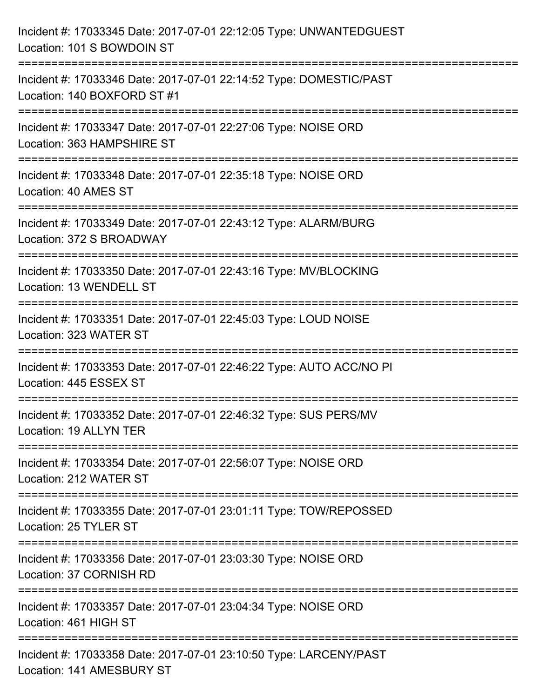| Incident #: 17033345 Date: 2017-07-01 22:12:05 Type: UNWANTEDGUEST<br>Location: 101 S BOWDOIN ST                                                                  |
|-------------------------------------------------------------------------------------------------------------------------------------------------------------------|
| Incident #: 17033346 Date: 2017-07-01 22:14:52 Type: DOMESTIC/PAST<br>Location: 140 BOXFORD ST #1                                                                 |
| Incident #: 17033347 Date: 2017-07-01 22:27:06 Type: NOISE ORD<br>Location: 363 HAMPSHIRE ST<br>:================================                                 |
| Incident #: 17033348 Date: 2017-07-01 22:35:18 Type: NOISE ORD<br>Location: 40 AMES ST                                                                            |
| Incident #: 17033349 Date: 2017-07-01 22:43:12 Type: ALARM/BURG<br>Location: 372 S BROADWAY<br>=============================                                      |
| Incident #: 17033350 Date: 2017-07-01 22:43:16 Type: MV/BLOCKING<br>Location: 13 WENDELL ST                                                                       |
| Incident #: 17033351 Date: 2017-07-01 22:45:03 Type: LOUD NOISE<br>Location: 323 WATER ST                                                                         |
| Incident #: 17033353 Date: 2017-07-01 22:46:22 Type: AUTO ACC/NO PI<br>Location: 445 ESSEX ST                                                                     |
| Incident #: 17033352 Date: 2017-07-01 22:46:32 Type: SUS PERS/MV<br>Location: 19 ALLYN TER                                                                        |
| Incident #: 17033354 Date: 2017-07-01 22:56:07 Type: NOISE ORD<br>Location: 212 WATER ST                                                                          |
| ===================================<br>============================<br>Incident #: 17033355 Date: 2017-07-01 23:01:11 Type: TOW/REPOSSED<br>Location: 25 TYLER ST |
| Incident #: 17033356 Date: 2017-07-01 23:03:30 Type: NOISE ORD<br>Location: 37 CORNISH RD                                                                         |
| Incident #: 17033357 Date: 2017-07-01 23:04:34 Type: NOISE ORD<br>Location: 461 HIGH ST                                                                           |
| Incident #: 17033358 Date: 2017-07-01 23:10:50 Type: LARCENY/PAST<br>Location: 141 AMESBURY ST                                                                    |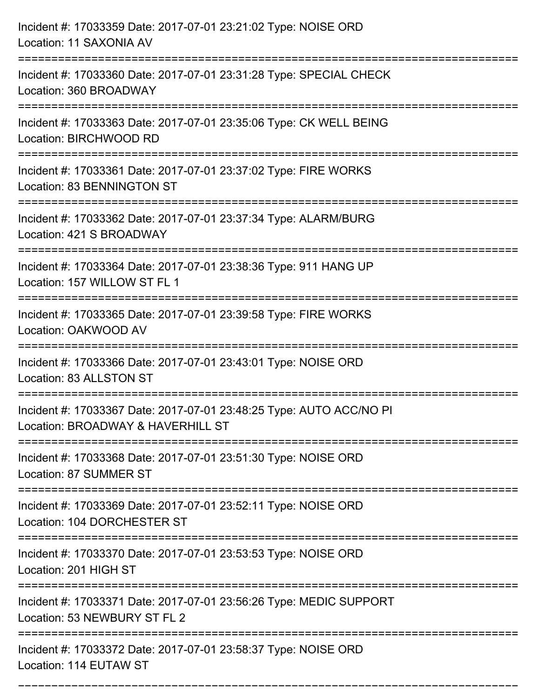| Incident #: 17033359 Date: 2017-07-01 23:21:02 Type: NOISE ORD<br>Location: 11 SAXONIA AV<br>================================  |
|--------------------------------------------------------------------------------------------------------------------------------|
| Incident #: 17033360 Date: 2017-07-01 23:31:28 Type: SPECIAL CHECK<br>Location: 360 BROADWAY                                   |
| Incident #: 17033363 Date: 2017-07-01 23:35:06 Type: CK WELL BEING<br>Location: BIRCHWOOD RD<br>============================== |
| Incident #: 17033361 Date: 2017-07-01 23:37:02 Type: FIRE WORKS<br>Location: 83 BENNINGTON ST                                  |
| Incident #: 17033362 Date: 2017-07-01 23:37:34 Type: ALARM/BURG<br>Location: 421 S BROADWAY<br>=============================== |
| Incident #: 17033364 Date: 2017-07-01 23:38:36 Type: 911 HANG UP<br>Location: 157 WILLOW ST FL 1                               |
| Incident #: 17033365 Date: 2017-07-01 23:39:58 Type: FIRE WORKS<br>Location: OAKWOOD AV                                        |
| Incident #: 17033366 Date: 2017-07-01 23:43:01 Type: NOISE ORD<br>Location: 83 ALLSTON ST                                      |
| Incident #: 17033367 Date: 2017-07-01 23:48:25 Type: AUTO ACC/NO PI<br>Location: BROADWAY & HAVERHILL ST                       |
| Incident #: 17033368 Date: 2017-07-01 23:51:30 Type: NOISE ORD<br><b>Location: 87 SUMMER ST</b>                                |
| Incident #: 17033369 Date: 2017-07-01 23:52:11 Type: NOISE ORD<br>Location: 104 DORCHESTER ST                                  |
| Incident #: 17033370 Date: 2017-07-01 23:53:53 Type: NOISE ORD<br>Location: 201 HIGH ST                                        |
| Incident #: 17033371 Date: 2017-07-01 23:56:26 Type: MEDIC SUPPORT<br>Location: 53 NEWBURY ST FL 2                             |
| Incident #: 17033372 Date: 2017-07-01 23:58:37 Type: NOISE ORD<br>Location: 114 EUTAW ST                                       |

===========================================================================